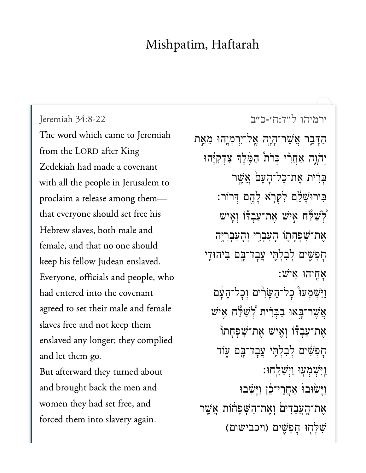## Mishpatim, Haftarah

יר<br>[ירמיהו ל״ד:ח׳-כ״ב](https://www.sefaria.org/Jeremiah%2034:8-22) 34:8-22 Jeremiah 34:8-22 Jeremiah 34:8-22 The word which came to Jeremiah from the LORD after King  $\sigma$  in Jerusalem in Jerusalem to  $\sigma$ with all the people in Jerusalem to proclaim a release among themthat everyone should set free his Hebrew slaves, both male and female, and that no one should keep his fellow Judean enslaved. Everyone, officials and people, who and the set of the set of  $\frac{1}{2}$  is the set of the set of the set of the set of the set of the set of the set of the set of the set of the set of the set of the set of the set of the set of the set of the set of the se agreed to set their male and female slaves free and not keep them enslaved any longer; they complied  $\begin{array}{cccccccc}\n & 1 & 1 & 1\n\end{array}$ But afterward they turned about and brought back the men and women they had set free, and forced them into slavery again.

ַהַדָּבֶר אֲשֶׁר־הָיֶה אֱל־יִרִמְיֶהוּ מֵאֵת יִהֹוֶה אַחֲרֵי כִּרֹת ּהַמֵּ֫לֵךְ צִדְקִיְּּהוּ בְּרִית אֲת־כָּל־הָעָם אֲשֱר בִּירוּּשָׁלַ֑ם לְקְרָא לַהֱם דְּרוֹר: ֿיַשׁ לַּח אֵיש אֵת־עַבְדוֹ וְאֵיש  $\zeta$ אֶת־שִׁפְּחָתוֹ הָעִבְרִי וְהָעִבְרִי<sub>ּ</sub>ֶה ּחָפִשִׁים לְבִלְתֵּי עֲבָד־בֵּם בִּיהוּדֵי : אַחֲיהוּ אֵיש וַיִּּשְׁמְעּוּ כְל־הַשָּׂוֹ ים וְכְל־הָעָׁם אֲשֶׁר־בָאוּ בַבְּרִ֫ית קְצִישׁ הַּיֹש אַת־עַבְדוֹ וְאֵישׁ אֶת־שִׁפְחָתוֹ חַפְּשִׁ֫ים לְבְלְתֵּי עֲבַד־בֵּם עְוֹד ַוְיִּּשָׁמְעָוּ וַיִּשָׁלֵחוּ: וַיַּשׂוּבוּׂ אַחֲרֵי־בֶּׁן וַיַּשְׁבוּ אֶת־הָעֲבָדִים וְאֶת־הַשִּׁפַחוֹת אֲשֵׁר ֹשְׁלְחָוּ חַפְּשִׁים (ויכבישום)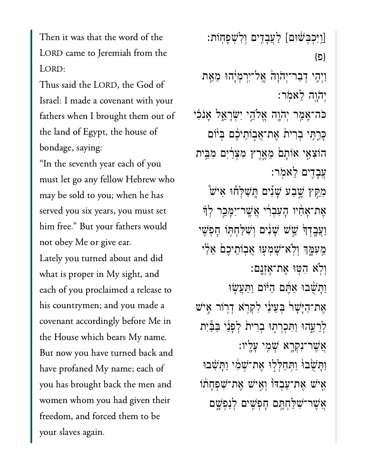Then it was that the word of the LORD came to Jeremiah from the LORD:

 $T<sup>1</sup>$  illiant  $\sim$  1  $C$  1  $C$ Israel: I made a covenant with your the land of Egypt, the house of Egypt, the house of Egypt, the house of Egypt, the house of Egypt, the house o<br>The house of Egypt, the house of Egypt, the house of Egypt, the house of Egypt, the house of Egypt, the house  $\begin{bmatrix} 1 & 1 & 1 & C \end{bmatrix}$ bondage, saying:

"In the seventh year each of you must let go any fellow Hebrew who may be sold to you; when he has es<br>set  $\frac{1}{1}$   $\frac{1}{2}$   $\frac{1}{2}$   $\frac{1}{2}$   $\frac{1}{2}$   $\frac{1}{2}$   $\frac{1}{2}$   $\frac{1}{2}$   $\frac{1}{2}$   $\frac{1}{2}$   $\frac{1}{2}$   $\frac{1}{2}$   $\frac{1}{2}$   $\frac{1}{2}$   $\frac{1}{2}$   $\frac{1}{2}$   $\frac{1}{2}$   $\frac{1}{2}$   $\frac{1}{2}$   $\frac{1}{2}$   $\frac{1}{2}$   $\frac{1}{2}$  him free." But your fathers would not obey Me or give ear.

Lately you turned about and did what is proper in My sight, and each of you proclaimed a release to his countrymen; and you made a covenant accordingly before Me in the House which bears My name. y<br>But now you have turned back ar<br>have profaned My name; each of have profaned My name; each of you has brought back the men and women whom you had given their freedom, and forced them to be your slaves again.

ַֽו]ַֽוִּיְכְּבׁ֔שּום[ ַלֲעָבִ֖דים ְוִלְׁשָפֽחֹות׃ }פ{ ּוַיְהָי דְּבַר־יְהֹוָהֹ אֱל־יִרְמְיָ֫הוּ מֵאֵת ְי ֹה ָ֖וֹהָ֖וה ֵלאֹֽמר׃ ֿכֿה־אָמַר יִהוֶה אֵלֹהֵי יִשְׂרָאֵל אָנֹכִי ַּכַּרְתֵּי בְרִית אֶת־אֲבְוֹתֵיּבֶם בְּיֹּוֹם הוֹצִאֶי אוֹתָםׂ מֵאֱרֶץ מִצְרַׂיִם מִבֵּית ֲעָבִ֖דים ֵלאֹֽמר׃ מִקֵּץ שֶׁבַע שָׁנִים הֲשַׁלְּחוּ אִישׂ ָאֶת־אֲחָיו הַעְבְרִ֫י אֲשֱר־יִמֲכֵר לְדָּ וַעֲּבָדְךָּׂ שֵׁשׁ שָׁנִּים וְשִׁלַּחְתְּוֹ חָפְשֵׁי **ִ**מְעִמֶּךְ וְלְא<sup>ָ-</sup>שָׁמְעָוּ אֲבִוֹתֵיכֶם אֵלַי ְוֹ֥לא ִהּ֖טּו ֶאת־ׇאְזָֽנם׃ וַתֲשָׁבוּ אַחֲם הַיּוֹם וַתַּעֲשָׂוּ אֶת־הַיָּשָׁר וּבְעֵינַי לְקִרְא דְרוֹר אֵישׁ לְרֵעֱהוּ וַתִּכְרִתְוּ בִרִית לְפָנַי בַּבַּיִת ֲאֶׁשר־ִנְקָ֥רא ְׁשִ֖מי ָעָֽליו׃ וַתַּשָּׂבוּ וַתְּחַלְלִוּ אֶת־שָׁמִ֫י וַתֲשָׂבוּ ֿאַישׁ אָת־עַבְדּוֹ וְאֵישׁ אֱת־שִׁפְחַתֹו  $\boldsymbol{v}$ ָּאֶֽשֶׁר־שִׁלְחָתֱם חָפְשִׁים לְנַפְשֶׁם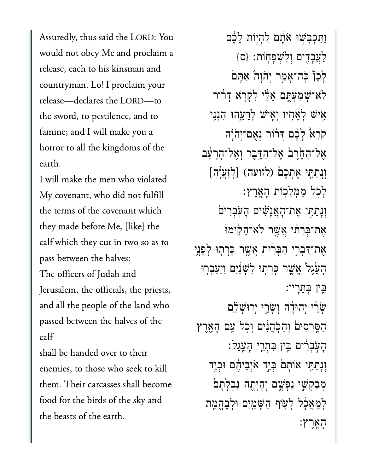Assuredly, thus said the LORD: You would not obey Me and proclaim a release, each to his kinsman and countryman. Lo! I proclaim your release-declares the LORD-to the sword, to pestilence, and to famine; and I will make you a horror to all the kingdoms of the  $\frac{1}{1}$ 

I will make the men who violated My covenant, who did not fulfill the terms of the covenant which they made before Me, [like] the calf which they cut in two so as to pass between the halves:

The officers of Judah and Jerusalem, the officials, the priests, and all the people of the land who passed between the halves of the  $\frac{1}{2}$ 

 kill shall be handed over to their them. Their carcasses shall becomethem. Their carcasses shall become food for the birds of the sky and the beasts of the earth.

וַתְּכְבְּשִׁוּ אֹתָם לֶהְיוֹת לָבֶם  $\{$ לְעֲבָדִים וְלְשָׁפַּחוֹת: {ס ַלְכֶןْ כֹּה־אָמֵר יְהֹוַה ֹאָתֵּם לֹא־*ִׁ*שְׁמַעָּחֵם אֵלֵי לְקְרָא דְרֹוֹר ְאִישׁ לְאָחֶיו וְאִיּשׁ לְרֵעֱהוּ הָנְנֵי ֹקֹרֵא לָלֶם דְּרוֹר נִאֲם־יְהֹוָה ֶאל־ַהֶ֙חֶר֙ב ֶאל־ַהֶּ֣דֶבר ְוֶאל־ָהָרָ֔עב ְיִ<br>אֶל־הַחֶּׂרֶבֹ אֶל־הַדֶּבֶר וְאֶל־הָרָעָׁ<br>וְנְתַתָּי אֶתְכֶם (לזועה) [לְזַעֲוָה] ְלֹ֖כל ַמְמְל֥כֹות ָהָֽאֶרץ׃ וְנָתַתִּי אֶת־הָאֲנָשִׁים הָעִׂבְרִים ָאֶת־בִּרְתִּ֫י אֲשֱר לֹא־הֵקִימוּ ָאֶת־דִּבְרֵי הַבְּרִית אֲשֶׁר כַּרְתִוּ לְפָנֵי ָהָעֱׂגֵל אֲשֵׁר כַּרְתִוּ לְשָׁנַ֫יִם וַיַּעֲבְרִוּ ֵּ֥בין ְּבָתָֽריו׃ ָשֶׂרֵי יְהוּדָּה וְשָׂרֵי יְרוּשָׁלַם ַהַסֵּרְסִים וְהַכְּהֲנִים וְכְל עַם הָאָרֵץ ָהֹ֣עְבִ֔רים ֵּ֖בין ִּבְתֵ֥רי ָהֵֽעֶגל׃ וְנָתַתִּי אוֹתָם בְּיַד אִיְבֵיהֶם וּבְיָד מִבְקָשֵׁי נַפְּשֵׁם וְהָיִתָה נִבְלָתַם לִמַּאֲכָֿל לִעְוֹף הַשָּׁמַיִם וּלְבֶהֱמֶת ָהָֽאֶרץ׃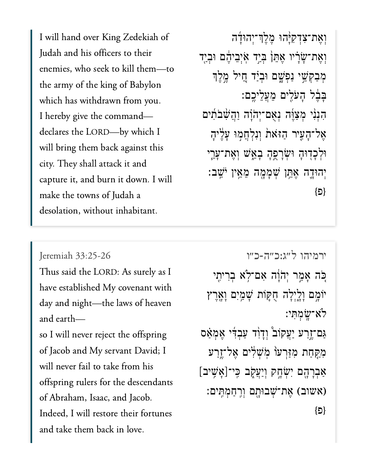$J = \frac{1}{10}$  in the total distribution of the transmission of the transmission of the transmission of the transmission of the transmission of the transmission of the transmission of the transmission of the transmission of Judah and his officers to their enemies, who seek to kill them-to the army of the king of Babylon which has withdrawn from you. I hereby give the command declares the LORD-by which I will bring them back against this city. They shall attack it and capture it, and burn it down. I will make the towns of Judah a desolation, without inhabitant.

וְאֶת־צִדְקִיּ<sub>ָ</sub>הוּ מֵלֵךְ־יִהוּדָה וְאֶת־שָׂרָ֫יו אֶתֵּןۢ בְּיַד אִיְבֵיהֶם וּבְיַד מְּבַקְּשֵׁי נַפְּשֶׁם וּבְיַ֫ד חֵיל מֵלֵךּ  $\,$ בָּבֶל הַעֹּלִים מֵעֲלֵיכֵם: הִנְנִ<sup>ּי</sup> מְצַוֶּה נְאֻם־יְהֹוָה וַהֲשָׁבֹתִים אֱל־הָעִיר הַזּאֹת וְנִלְחֲמְוּ עָלֶיהָ ּוְלָכ֖דּוָה ּוְׂשָרֻ֣פָה ָבֵ֑אׁש ְוֶאת־ָעֵ֧רי ְיהּוָ֛דה ֶאֵּ֥תן ְׁשָמָ֖מה ֵמֵ֥אין ֹיֵֽׁשב׃ }פ{

## Jeremiah  $33:25-26$

Thus said the LORD: As surely as I have established My covenant with day and night—the laws of heaven and earth-

so I will never reject the offspring of Jacob and My servant David; I will never fail to take from his offspring rulers for the descendants of Abraham, Isaac, and Jacob. Indeed, I will restore their fortunes and take them back in love.

ירמיהו [ל״ג:כ״ה-כ״ו](https://www.sefaria.org/Jeremiah%2033:25-26) 33:25-26 Jeremiah ְּכָּה אֲמֵר יְהֹוָּה אִם־לְא בְרִיתֵי יֹוּמֲם וְלֵיְלָה חָקֶּוֹת שָׁמַיִם וְאֶרֶץ ֹלא־ָֽׂשְמִּתי׃ ַגַּם־זֵרַע יַעֲקוֹב ּוְדָוֹד עַבְדִי אֱמָאַס מִקָּחַת מִזַּרְעֹו מְׂשְׁלִים אֶל־זֶרַע ַ-<br>מִקָּחַת מִזַּרְעּוֹ מִשְׁלִּים אֶל־זֶרַע<br>אַבְרָהֶם יִשְׂחֶק וְיַעֲקֶב כִּי־[אָשִִיב] (אשוב) אֶת־שָׁבוּחָם וְרָחַמְתִּֽים:  ${E}$